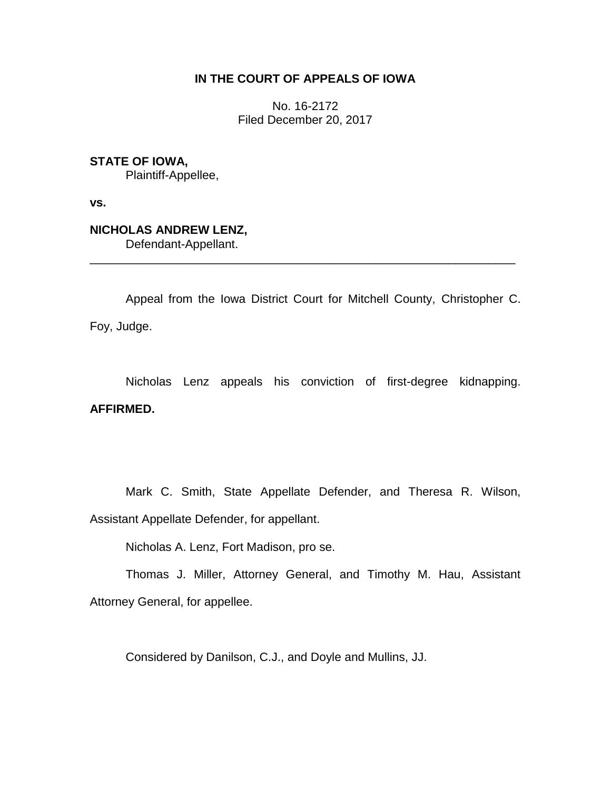# **IN THE COURT OF APPEALS OF IOWA**

No. 16-2172 Filed December 20, 2017

**STATE OF IOWA,**

Plaintiff-Appellee,

**vs.**

**NICHOLAS ANDREW LENZ,**

Defendant-Appellant.

Appeal from the Iowa District Court for Mitchell County, Christopher C. Foy, Judge.

\_\_\_\_\_\_\_\_\_\_\_\_\_\_\_\_\_\_\_\_\_\_\_\_\_\_\_\_\_\_\_\_\_\_\_\_\_\_\_\_\_\_\_\_\_\_\_\_\_\_\_\_\_\_\_\_\_\_\_\_\_\_\_\_

Nicholas Lenz appeals his conviction of first-degree kidnapping. **AFFIRMED.**

Mark C. Smith, State Appellate Defender, and Theresa R. Wilson, Assistant Appellate Defender, for appellant.

Nicholas A. Lenz, Fort Madison, pro se.

Thomas J. Miller, Attorney General, and Timothy M. Hau, Assistant Attorney General, for appellee.

Considered by Danilson, C.J., and Doyle and Mullins, JJ.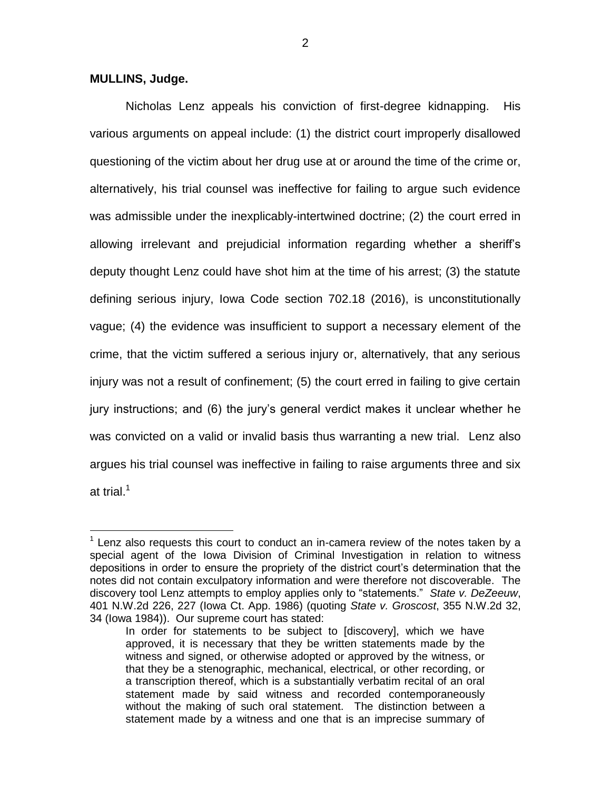### **MULLINS, Judge.**

 $\overline{a}$ 

Nicholas Lenz appeals his conviction of first-degree kidnapping. His various arguments on appeal include: (1) the district court improperly disallowed questioning of the victim about her drug use at or around the time of the crime or, alternatively, his trial counsel was ineffective for failing to argue such evidence was admissible under the inexplicably-intertwined doctrine; (2) the court erred in allowing irrelevant and prejudicial information regarding whether a sheriff's deputy thought Lenz could have shot him at the time of his arrest; (3) the statute defining serious injury, Iowa Code section 702.18 (2016), is unconstitutionally vague; (4) the evidence was insufficient to support a necessary element of the crime, that the victim suffered a serious injury or, alternatively, that any serious injury was not a result of confinement; (5) the court erred in failing to give certain jury instructions; and (6) the jury's general verdict makes it unclear whether he was convicted on a valid or invalid basis thus warranting a new trial. Lenz also argues his trial counsel was ineffective in failing to raise arguments three and six at trial. $^1$ 

 $1$  Lenz also requests this court to conduct an in-camera review of the notes taken by a special agent of the Iowa Division of Criminal Investigation in relation to witness depositions in order to ensure the propriety of the district court's determination that the notes did not contain exculpatory information and were therefore not discoverable. The discovery tool Lenz attempts to employ applies only to "statements." *State v. DeZeeuw*, 401 N.W.2d 226, 227 (Iowa Ct. App. 1986) (quoting *State v. Groscost*, 355 N.W.2d 32, 34 (Iowa 1984)). Our supreme court has stated:

In order for statements to be subject to [discovery], which we have approved, it is necessary that they be written statements made by the witness and signed, or otherwise adopted or approved by the witness, or that they be a stenographic, mechanical, electrical, or other recording, or a transcription thereof, which is a substantially verbatim recital of an oral statement made by said witness and recorded contemporaneously without the making of such oral statement. The distinction between a statement made by a witness and one that is an imprecise summary of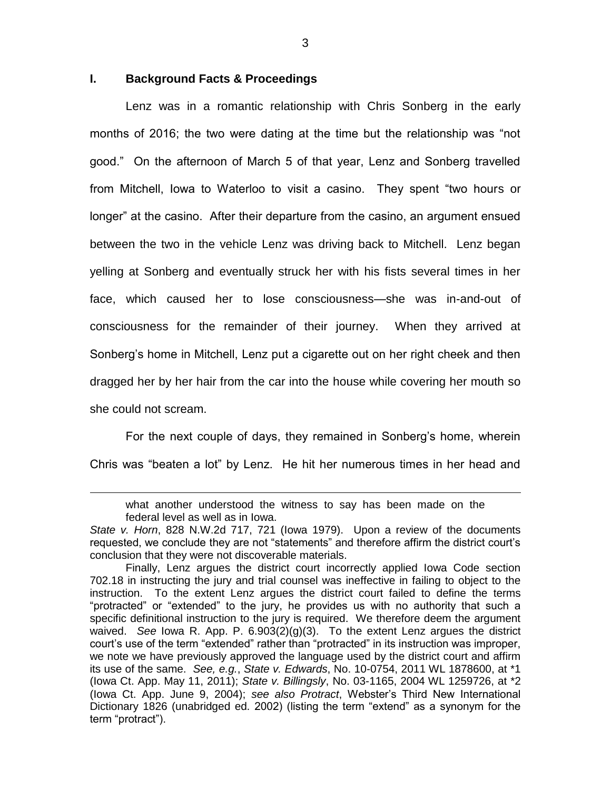## **I. Background Facts & Proceedings**

 $\overline{a}$ 

Lenz was in a romantic relationship with Chris Sonberg in the early months of 2016; the two were dating at the time but the relationship was "not good." On the afternoon of March 5 of that year, Lenz and Sonberg travelled from Mitchell, Iowa to Waterloo to visit a casino. They spent "two hours or longer" at the casino. After their departure from the casino, an argument ensued between the two in the vehicle Lenz was driving back to Mitchell. Lenz began yelling at Sonberg and eventually struck her with his fists several times in her face, which caused her to lose consciousness—she was in-and-out of consciousness for the remainder of their journey. When they arrived at Sonberg's home in Mitchell, Lenz put a cigarette out on her right cheek and then dragged her by her hair from the car into the house while covering her mouth so she could not scream.

For the next couple of days, they remained in Sonberg's home, wherein Chris was "beaten a lot" by Lenz. He hit her numerous times in her head and

what another understood the witness to say has been made on the federal level as well as in Iowa.

*State v. Horn*, 828 N.W.2d 717, 721 (Iowa 1979). Upon a review of the documents requested, we conclude they are not "statements" and therefore affirm the district court's conclusion that they were not discoverable materials.

Finally, Lenz argues the district court incorrectly applied Iowa Code section 702.18 in instructing the jury and trial counsel was ineffective in failing to object to the instruction. To the extent Lenz argues the district court failed to define the terms "protracted" or "extended" to the jury, he provides us with no authority that such a specific definitional instruction to the jury is required. We therefore deem the argument waived. *See* Iowa R. App. P. 6.903(2)(g)(3). To the extent Lenz argues the district court's use of the term "extended" rather than "protracted" in its instruction was improper, we note we have previously approved the language used by the district court and affirm its use of the same. *See, e.g.*, *State v. Edwards*, No. 10-0754, 2011 WL 1878600, at \*1 (Iowa Ct. App. May 11, 2011); *State v. Billingsly*, No. 03-1165, 2004 WL 1259726, at \*2 (Iowa Ct. App. June 9, 2004); *see also Protract*, Webster's Third New International Dictionary 1826 (unabridged ed. 2002) (listing the term "extend" as a synonym for the term "protract").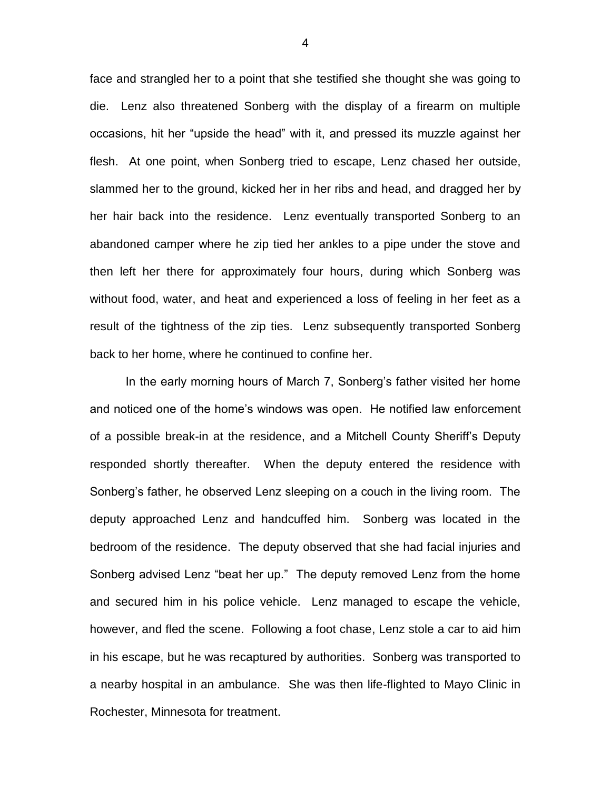face and strangled her to a point that she testified she thought she was going to die. Lenz also threatened Sonberg with the display of a firearm on multiple occasions, hit her "upside the head" with it, and pressed its muzzle against her flesh. At one point, when Sonberg tried to escape, Lenz chased her outside, slammed her to the ground, kicked her in her ribs and head, and dragged her by her hair back into the residence. Lenz eventually transported Sonberg to an abandoned camper where he zip tied her ankles to a pipe under the stove and then left her there for approximately four hours, during which Sonberg was without food, water, and heat and experienced a loss of feeling in her feet as a result of the tightness of the zip ties. Lenz subsequently transported Sonberg back to her home, where he continued to confine her.

In the early morning hours of March 7, Sonberg's father visited her home and noticed one of the home's windows was open. He notified law enforcement of a possible break-in at the residence, and a Mitchell County Sheriff's Deputy responded shortly thereafter. When the deputy entered the residence with Sonberg's father, he observed Lenz sleeping on a couch in the living room. The deputy approached Lenz and handcuffed him. Sonberg was located in the bedroom of the residence. The deputy observed that she had facial injuries and Sonberg advised Lenz "beat her up." The deputy removed Lenz from the home and secured him in his police vehicle. Lenz managed to escape the vehicle, however, and fled the scene. Following a foot chase, Lenz stole a car to aid him in his escape, but he was recaptured by authorities. Sonberg was transported to a nearby hospital in an ambulance. She was then life-flighted to Mayo Clinic in Rochester, Minnesota for treatment.

4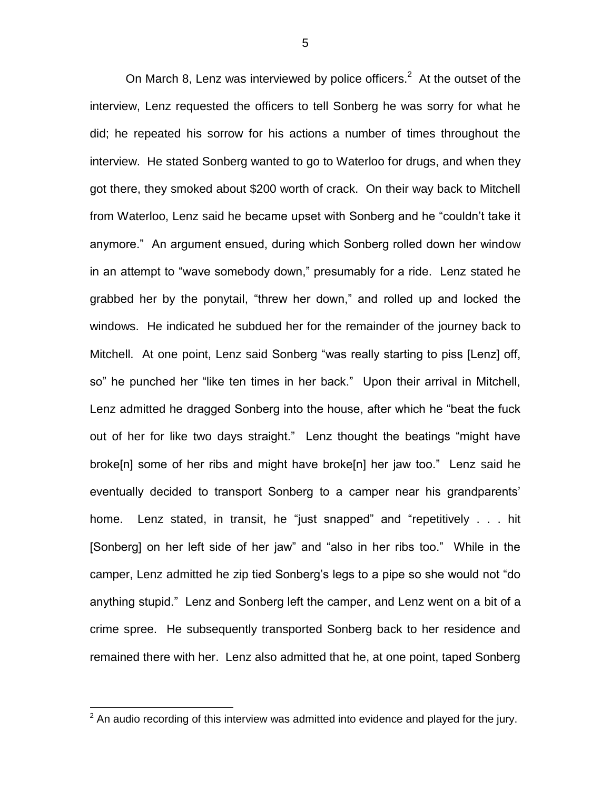On March 8, Lenz was interviewed by police officers.<sup>2</sup> At the outset of the interview, Lenz requested the officers to tell Sonberg he was sorry for what he did; he repeated his sorrow for his actions a number of times throughout the interview. He stated Sonberg wanted to go to Waterloo for drugs, and when they got there, they smoked about \$200 worth of crack. On their way back to Mitchell from Waterloo, Lenz said he became upset with Sonberg and he "couldn't take it anymore." An argument ensued, during which Sonberg rolled down her window in an attempt to "wave somebody down," presumably for a ride. Lenz stated he grabbed her by the ponytail, "threw her down," and rolled up and locked the windows. He indicated he subdued her for the remainder of the journey back to Mitchell. At one point, Lenz said Sonberg "was really starting to piss [Lenz] off, so" he punched her "like ten times in her back." Upon their arrival in Mitchell, Lenz admitted he dragged Sonberg into the house, after which he "beat the fuck out of her for like two days straight." Lenz thought the beatings "might have broke[n] some of her ribs and might have broke[n] her jaw too." Lenz said he eventually decided to transport Sonberg to a camper near his grandparents' home. Lenz stated, in transit, he "just snapped" and "repetitively . . . hit [Sonberg] on her left side of her jaw" and "also in her ribs too." While in the camper, Lenz admitted he zip tied Sonberg's legs to a pipe so she would not "do anything stupid." Lenz and Sonberg left the camper, and Lenz went on a bit of a crime spree. He subsequently transported Sonberg back to her residence and remained there with her. Lenz also admitted that he, at one point, taped Sonberg

 $\overline{a}$ 

 $2$  An audio recording of this interview was admitted into evidence and played for the jury.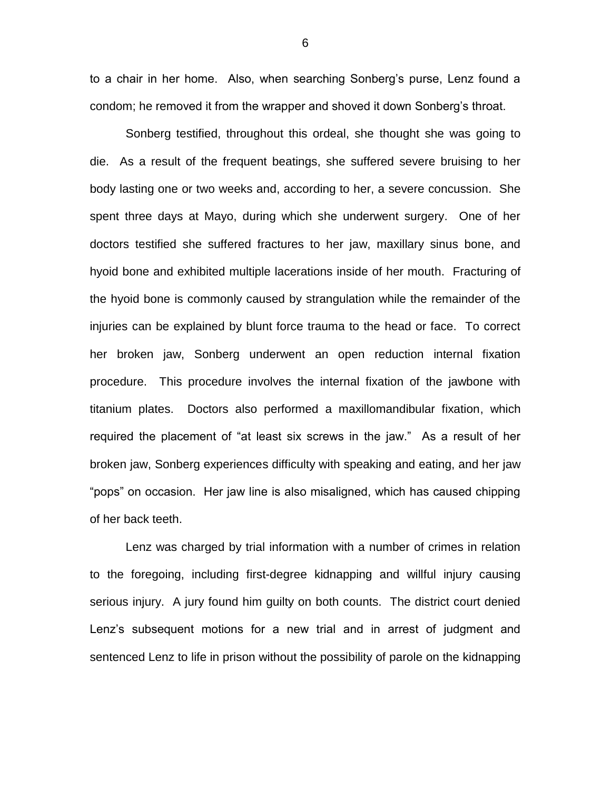to a chair in her home. Also, when searching Sonberg's purse, Lenz found a condom; he removed it from the wrapper and shoved it down Sonberg's throat.

Sonberg testified, throughout this ordeal, she thought she was going to die. As a result of the frequent beatings, she suffered severe bruising to her body lasting one or two weeks and, according to her, a severe concussion. She spent three days at Mayo, during which she underwent surgery. One of her doctors testified she suffered fractures to her jaw, maxillary sinus bone, and hyoid bone and exhibited multiple lacerations inside of her mouth. Fracturing of the hyoid bone is commonly caused by strangulation while the remainder of the injuries can be explained by blunt force trauma to the head or face. To correct her broken jaw, Sonberg underwent an open reduction internal fixation procedure. This procedure involves the internal fixation of the jawbone with titanium plates. Doctors also performed a maxillomandibular fixation, which required the placement of "at least six screws in the jaw." As a result of her broken jaw, Sonberg experiences difficulty with speaking and eating, and her jaw "pops" on occasion. Her jaw line is also misaligned, which has caused chipping of her back teeth.

Lenz was charged by trial information with a number of crimes in relation to the foregoing, including first-degree kidnapping and willful injury causing serious injury. A jury found him guilty on both counts. The district court denied Lenz's subsequent motions for a new trial and in arrest of judgment and sentenced Lenz to life in prison without the possibility of parole on the kidnapping

6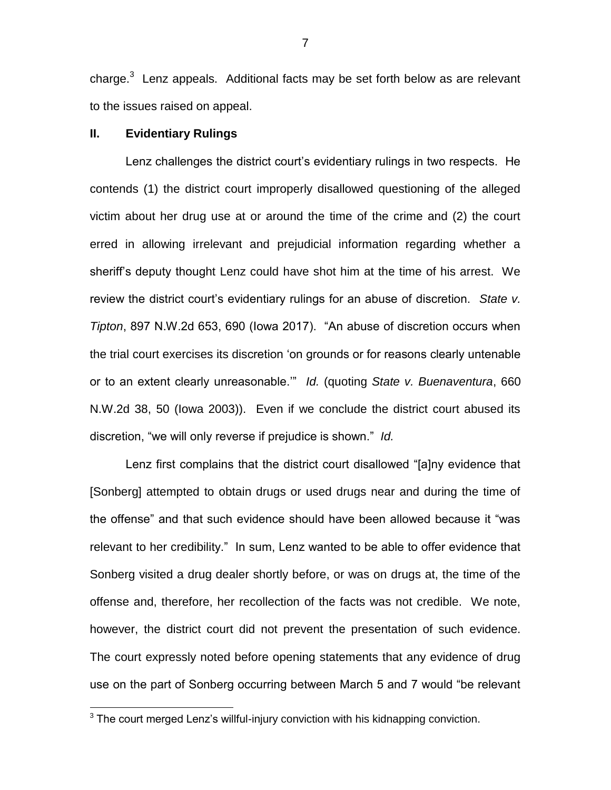charge. $3$  Lenz appeals. Additional facts may be set forth below as are relevant to the issues raised on appeal.

# **II. Evidentiary Rulings**

 $\overline{a}$ 

Lenz challenges the district court's evidentiary rulings in two respects. He contends (1) the district court improperly disallowed questioning of the alleged victim about her drug use at or around the time of the crime and (2) the court erred in allowing irrelevant and prejudicial information regarding whether a sheriff's deputy thought Lenz could have shot him at the time of his arrest. We review the district court's evidentiary rulings for an abuse of discretion. *State v. Tipton*, 897 N.W.2d 653, 690 (Iowa 2017). "An abuse of discretion occurs when the trial court exercises its discretion 'on grounds or for reasons clearly untenable or to an extent clearly unreasonable.'" *Id.* (quoting *State v. Buenaventura*, 660 N.W.2d 38, 50 (Iowa 2003)). Even if we conclude the district court abused its discretion, "we will only reverse if prejudice is shown." *Id.*

Lenz first complains that the district court disallowed "[a]ny evidence that [Sonberg] attempted to obtain drugs or used drugs near and during the time of the offense" and that such evidence should have been allowed because it "was relevant to her credibility." In sum, Lenz wanted to be able to offer evidence that Sonberg visited a drug dealer shortly before, or was on drugs at, the time of the offense and, therefore, her recollection of the facts was not credible. We note, however, the district court did not prevent the presentation of such evidence. The court expressly noted before opening statements that any evidence of drug use on the part of Sonberg occurring between March 5 and 7 would "be relevant

 $3$  The court merged Lenz's willful-injury conviction with his kidnapping conviction.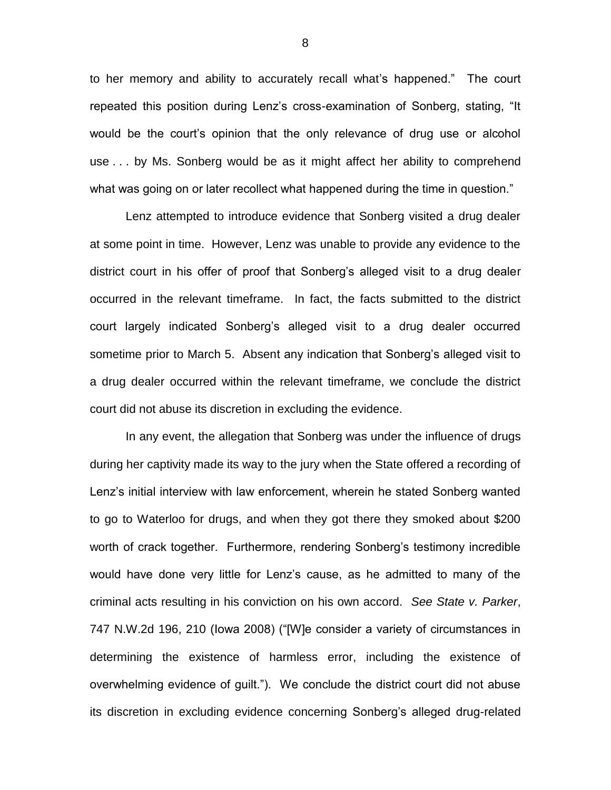to her memory and ability to accurately recall what's happened." The court repeated this position during Lenz's cross-examination of Sonberg, stating, "It would be the court's opinion that the only relevance of drug use or alcohol use . . . by Ms. Sonberg would be as it might affect her ability to comprehend what was going on or later recollect what happened during the time in question."

Lenz attempted to introduce evidence that Sonberg visited a drug dealer at some point in time. However, Lenz was unable to provide any evidence to the district court in his offer of proof that Sonberg's alleged visit to a drug dealer occurred in the relevant timeframe. In fact, the facts submitted to the district court largely indicated Sonberg's alleged visit to a drug dealer occurred sometime prior to March 5. Absent any indication that Sonberg's alleged visit to a drug dealer occurred within the relevant timeframe, we conclude the district court did not abuse its discretion in excluding the evidence.

In any event, the allegation that Sonberg was under the influence of drugs during her captivity made its way to the jury when the State offered a recording of Lenz's initial interview with law enforcement, wherein he stated Sonberg wanted to go to Waterloo for drugs, and when they got there they smoked about \$200 worth of crack together. Furthermore, rendering Sonberg's testimony incredible would have done very little for Lenz's cause, as he admitted to many of the criminal acts resulting in his conviction on his own accord. *See State v. Parker*, 747 N.W.2d 196, 210 (Iowa 2008) ("[W]e consider a variety of circumstances in determining the existence of harmless error, including the existence of overwhelming evidence of guilt."). We conclude the district court did not abuse its discretion in excluding evidence concerning Sonberg's alleged drug-related

8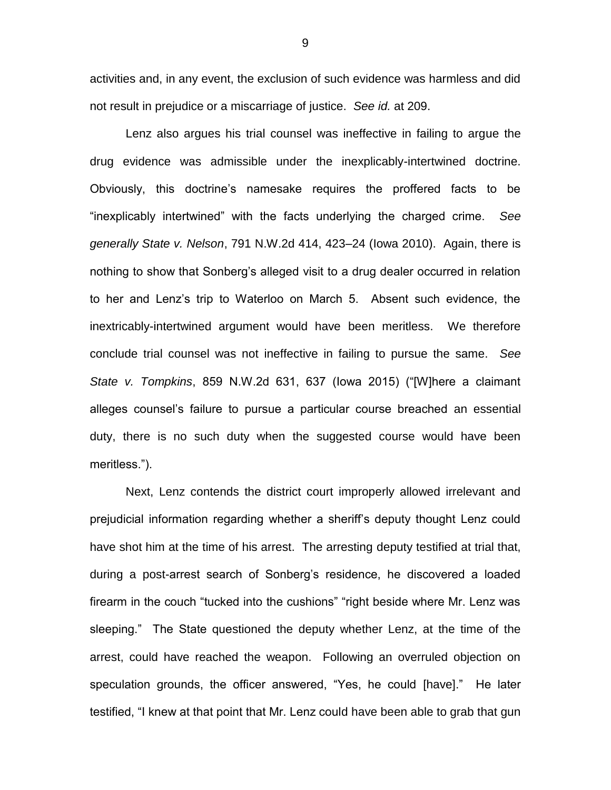activities and, in any event, the exclusion of such evidence was harmless and did not result in prejudice or a miscarriage of justice. *See id.* at 209.

Lenz also argues his trial counsel was ineffective in failing to argue the drug evidence was admissible under the inexplicably-intertwined doctrine. Obviously, this doctrine's namesake requires the proffered facts to be "inexplicably intertwined" with the facts underlying the charged crime. *See generally State v. Nelson*, 791 N.W.2d 414, 423–24 (Iowa 2010). Again, there is nothing to show that Sonberg's alleged visit to a drug dealer occurred in relation to her and Lenz's trip to Waterloo on March 5. Absent such evidence, the inextricably-intertwined argument would have been meritless. We therefore conclude trial counsel was not ineffective in failing to pursue the same. *See State v. Tompkins*, 859 N.W.2d 631, 637 (Iowa 2015) ("[W]here a claimant alleges counsel's failure to pursue a particular course breached an essential duty, there is no such duty when the suggested course would have been meritless.").

Next, Lenz contends the district court improperly allowed irrelevant and prejudicial information regarding whether a sheriff's deputy thought Lenz could have shot him at the time of his arrest. The arresting deputy testified at trial that, during a post-arrest search of Sonberg's residence, he discovered a loaded firearm in the couch "tucked into the cushions" "right beside where Mr. Lenz was sleeping." The State questioned the deputy whether Lenz, at the time of the arrest, could have reached the weapon. Following an overruled objection on speculation grounds, the officer answered, "Yes, he could [have]." He later testified, "I knew at that point that Mr. Lenz could have been able to grab that gun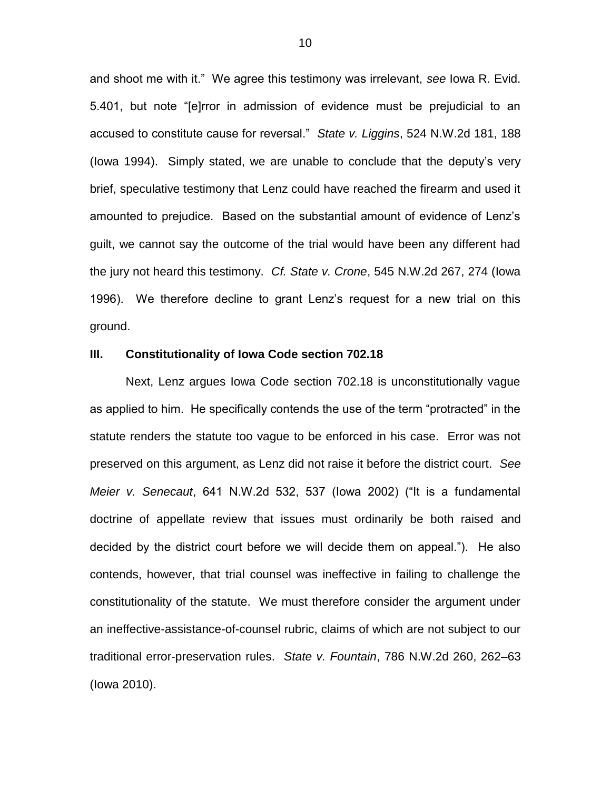and shoot me with it." We agree this testimony was irrelevant, *see* Iowa R. Evid. 5.401, but note "[e]rror in admission of evidence must be prejudicial to an accused to constitute cause for reversal." *State v. Liggins*, 524 N.W.2d 181, 188 (Iowa 1994). Simply stated, we are unable to conclude that the deputy's very brief, speculative testimony that Lenz could have reached the firearm and used it amounted to prejudice. Based on the substantial amount of evidence of Lenz's guilt, we cannot say the outcome of the trial would have been any different had the jury not heard this testimony. *Cf. State v. Crone*, 545 N.W.2d 267, 274 (Iowa 1996). We therefore decline to grant Lenz's request for a new trial on this ground.

### **III. Constitutionality of Iowa Code section 702.18**

Next, Lenz argues Iowa Code section 702.18 is unconstitutionally vague as applied to him. He specifically contends the use of the term "protracted" in the statute renders the statute too vague to be enforced in his case. Error was not preserved on this argument, as Lenz did not raise it before the district court. *See Meier v. Senecaut*, 641 N.W.2d 532, 537 (Iowa 2002) ("It is a fundamental doctrine of appellate review that issues must ordinarily be both raised and decided by the district court before we will decide them on appeal."). He also contends, however, that trial counsel was ineffective in failing to challenge the constitutionality of the statute. We must therefore consider the argument under an ineffective-assistance-of-counsel rubric, claims of which are not subject to our traditional error-preservation rules. *State v. Fountain*, 786 N.W.2d 260, 262–63 (Iowa 2010).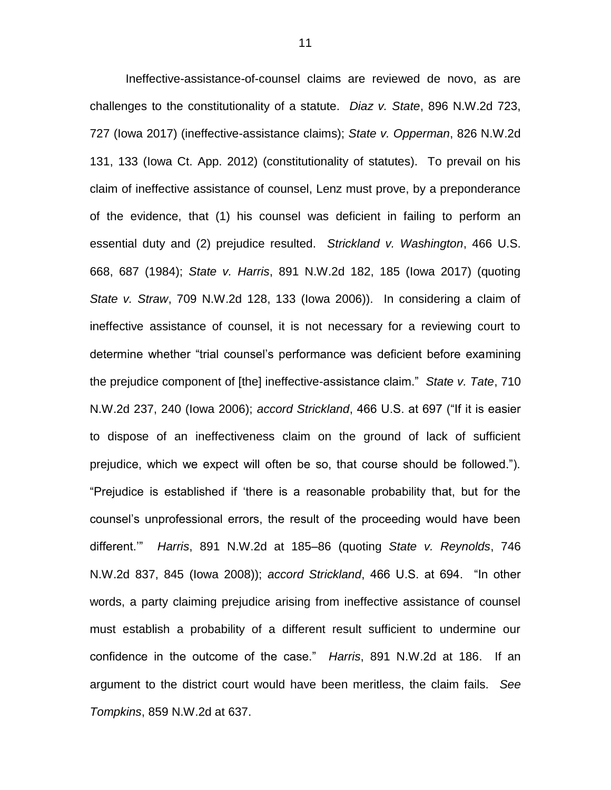Ineffective-assistance-of-counsel claims are reviewed de novo, as are challenges to the constitutionality of a statute. *Diaz v. State*, 896 N.W.2d 723, 727 (Iowa 2017) (ineffective-assistance claims); *State v. Opperman*, 826 N.W.2d 131, 133 (Iowa Ct. App. 2012) (constitutionality of statutes). To prevail on his claim of ineffective assistance of counsel, Lenz must prove, by a preponderance of the evidence, that (1) his counsel was deficient in failing to perform an essential duty and (2) prejudice resulted. *Strickland v. Washington*, 466 U.S. 668, 687 (1984); *State v. Harris*, 891 N.W.2d 182, 185 (Iowa 2017) (quoting *State v. Straw*, 709 N.W.2d 128, 133 (Iowa 2006)). In considering a claim of ineffective assistance of counsel, it is not necessary for a reviewing court to determine whether "trial counsel's performance was deficient before examining the prejudice component of [the] ineffective-assistance claim." *State v. Tate*, 710 N.W.2d 237, 240 (Iowa 2006); *accord Strickland*, 466 U.S. at 697 ("If it is easier to dispose of an ineffectiveness claim on the ground of lack of sufficient prejudice, which we expect will often be so, that course should be followed."). "Prejudice is established if 'there is a reasonable probability that, but for the counsel's unprofessional errors, the result of the proceeding would have been different.'" *Harris*, 891 N.W.2d at 185–86 (quoting *State v. Reynolds*, 746 N.W.2d 837, 845 (Iowa 2008)); *accord Strickland*, 466 U.S. at 694. "In other words, a party claiming prejudice arising from ineffective assistance of counsel must establish a probability of a different result sufficient to undermine our confidence in the outcome of the case." *Harris*, 891 N.W.2d at 186. If an argument to the district court would have been meritless, the claim fails. *See Tompkins*, 859 N.W.2d at 637.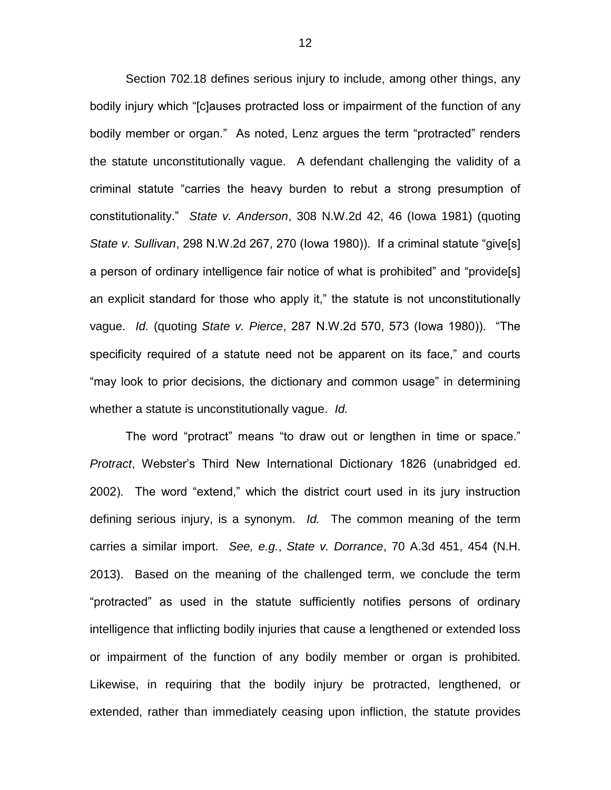Section 702.18 defines serious injury to include, among other things, any bodily injury which "[c]auses protracted loss or impairment of the function of any bodily member or organ." As noted, Lenz argues the term "protracted" renders the statute unconstitutionally vague. A defendant challenging the validity of a criminal statute "carries the heavy burden to rebut a strong presumption of constitutionality." *State v. Anderson*, 308 N.W.2d 42, 46 (Iowa 1981) (quoting *State v. Sullivan*, 298 N.W.2d 267, 270 (Iowa 1980)). If a criminal statute "give[s] a person of ordinary intelligence fair notice of what is prohibited" and "provide[s] an explicit standard for those who apply it," the statute is not unconstitutionally vague. *Id.* (quoting *State v. Pierce*, 287 N.W.2d 570, 573 (Iowa 1980)). "The specificity required of a statute need not be apparent on its face," and courts "may look to prior decisions, the dictionary and common usage" in determining whether a statute is unconstitutionally vague. *Id.*

The word "protract" means "to draw out or lengthen in time or space." *Protract*, Webster's Third New International Dictionary 1826 (unabridged ed. 2002). The word "extend," which the district court used in its jury instruction defining serious injury, is a synonym. *Id.* The common meaning of the term carries a similar import. *See, e.g.*, *State v. Dorrance*, 70 A.3d 451, 454 (N.H. 2013). Based on the meaning of the challenged term, we conclude the term "protracted" as used in the statute sufficiently notifies persons of ordinary intelligence that inflicting bodily injuries that cause a lengthened or extended loss or impairment of the function of any bodily member or organ is prohibited. Likewise, in requiring that the bodily injury be protracted, lengthened, or extended, rather than immediately ceasing upon infliction, the statute provides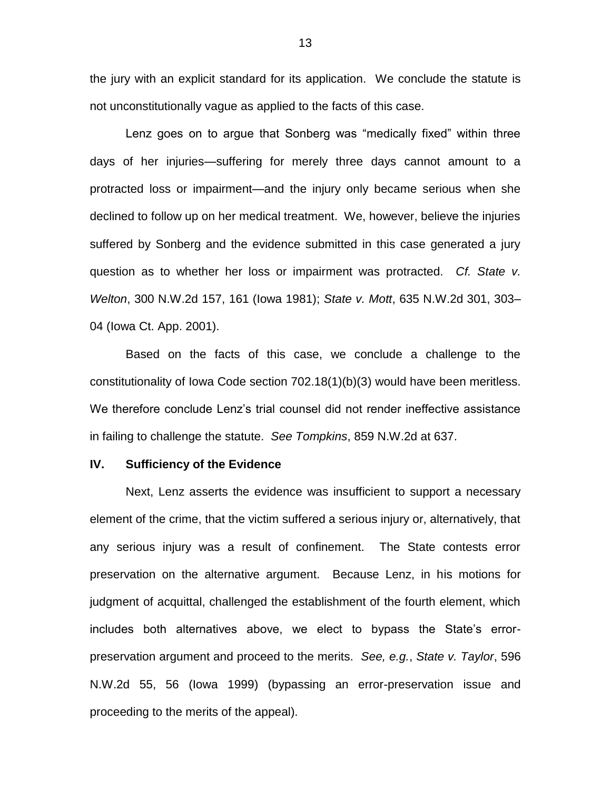the jury with an explicit standard for its application. We conclude the statute is not unconstitutionally vague as applied to the facts of this case.

Lenz goes on to argue that Sonberg was "medically fixed" within three days of her injuries—suffering for merely three days cannot amount to a protracted loss or impairment—and the injury only became serious when she declined to follow up on her medical treatment. We, however, believe the injuries suffered by Sonberg and the evidence submitted in this case generated a jury question as to whether her loss or impairment was protracted. *Cf. State v. Welton*, 300 N.W.2d 157, 161 (Iowa 1981); *State v. Mott*, 635 N.W.2d 301, 303– 04 (Iowa Ct. App. 2001).

Based on the facts of this case, we conclude a challenge to the constitutionality of Iowa Code section 702.18(1)(b)(3) would have been meritless. We therefore conclude Lenz's trial counsel did not render ineffective assistance in failing to challenge the statute. *See Tompkins*, 859 N.W.2d at 637.

#### **IV. Sufficiency of the Evidence**

Next, Lenz asserts the evidence was insufficient to support a necessary element of the crime, that the victim suffered a serious injury or, alternatively, that any serious injury was a result of confinement. The State contests error preservation on the alternative argument. Because Lenz, in his motions for judgment of acquittal, challenged the establishment of the fourth element, which includes both alternatives above, we elect to bypass the State's errorpreservation argument and proceed to the merits. *See, e.g.*, *State v. Taylor*, 596 N.W.2d 55, 56 (Iowa 1999) (bypassing an error-preservation issue and proceeding to the merits of the appeal).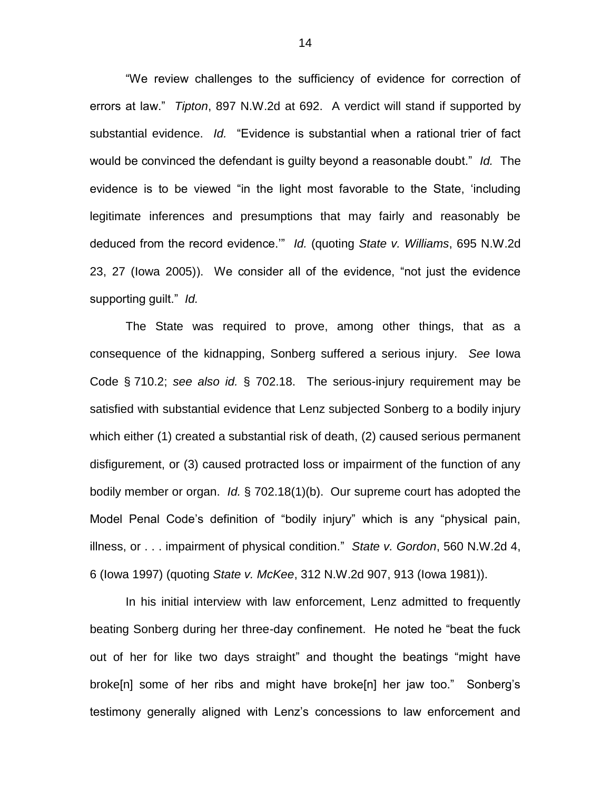"We review challenges to the sufficiency of evidence for correction of errors at law." *Tipton*, 897 N.W.2d at 692. A verdict will stand if supported by substantial evidence. *Id.* "Evidence is substantial when a rational trier of fact would be convinced the defendant is guilty beyond a reasonable doubt." *Id.* The evidence is to be viewed "in the light most favorable to the State, 'including legitimate inferences and presumptions that may fairly and reasonably be deduced from the record evidence.'" *Id.* (quoting *State v. Williams*, 695 N.W.2d 23, 27 (Iowa 2005)). We consider all of the evidence, "not just the evidence supporting guilt." *Id.*

The State was required to prove, among other things, that as a consequence of the kidnapping, Sonberg suffered a serious injury. *See* Iowa Code § 710.2; *see also id.* § 702.18. The serious-injury requirement may be satisfied with substantial evidence that Lenz subjected Sonberg to a bodily injury which either (1) created a substantial risk of death, (2) caused serious permanent disfigurement, or (3) caused protracted loss or impairment of the function of any bodily member or organ. *Id.* § 702.18(1)(b). Our supreme court has adopted the Model Penal Code's definition of "bodily injury" which is any "physical pain, illness, or . . . impairment of physical condition." *State v. Gordon*, 560 N.W.2d 4, 6 (Iowa 1997) (quoting *State v. McKee*, 312 N.W.2d 907, 913 (Iowa 1981)).

In his initial interview with law enforcement, Lenz admitted to frequently beating Sonberg during her three-day confinement. He noted he "beat the fuck out of her for like two days straight" and thought the beatings "might have broke[n] some of her ribs and might have broke[n] her jaw too." Sonberg's testimony generally aligned with Lenz's concessions to law enforcement and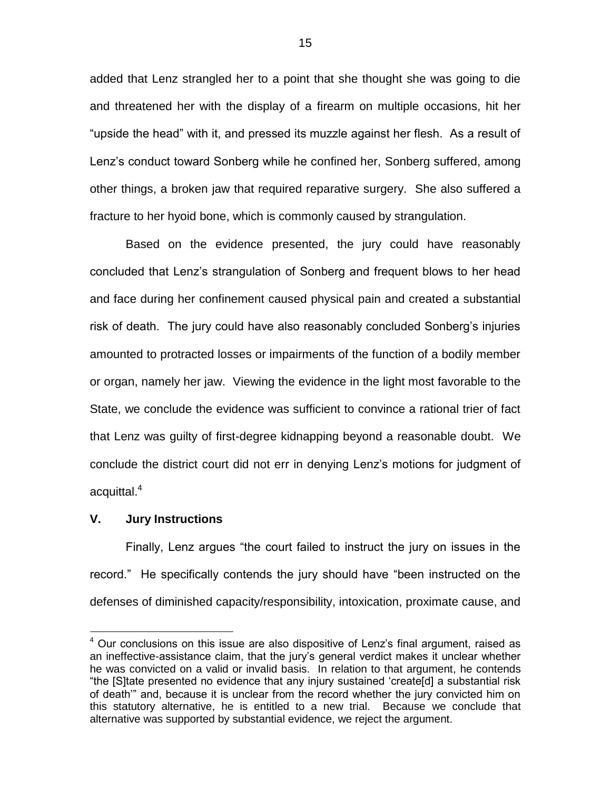added that Lenz strangled her to a point that she thought she was going to die and threatened her with the display of a firearm on multiple occasions, hit her "upside the head" with it, and pressed its muzzle against her flesh. As a result of Lenz's conduct toward Sonberg while he confined her, Sonberg suffered, among other things, a broken jaw that required reparative surgery. She also suffered a fracture to her hyoid bone, which is commonly caused by strangulation.

Based on the evidence presented, the jury could have reasonably concluded that Lenz's strangulation of Sonberg and frequent blows to her head and face during her confinement caused physical pain and created a substantial risk of death. The jury could have also reasonably concluded Sonberg's injuries amounted to protracted losses or impairments of the function of a bodily member or organ, namely her jaw. Viewing the evidence in the light most favorable to the State, we conclude the evidence was sufficient to convince a rational trier of fact that Lenz was guilty of first-degree kidnapping beyond a reasonable doubt. We conclude the district court did not err in denying Lenz's motions for judgment of acquittal.<sup>4</sup>

#### **V. Jury Instructions**

 $\overline{a}$ 

Finally, Lenz argues "the court failed to instruct the jury on issues in the record." He specifically contends the jury should have "been instructed on the defenses of diminished capacity/responsibility, intoxication, proximate cause, and

 $4$  Our conclusions on this issue are also dispositive of Lenz's final argument, raised as an ineffective-assistance claim, that the jury's general verdict makes it unclear whether he was convicted on a valid or invalid basis. In relation to that argument, he contends "the [S]tate presented no evidence that any injury sustained 'create[d] a substantial risk of death'" and, because it is unclear from the record whether the jury convicted him on this statutory alternative, he is entitled to a new trial. Because we conclude that alternative was supported by substantial evidence, we reject the argument.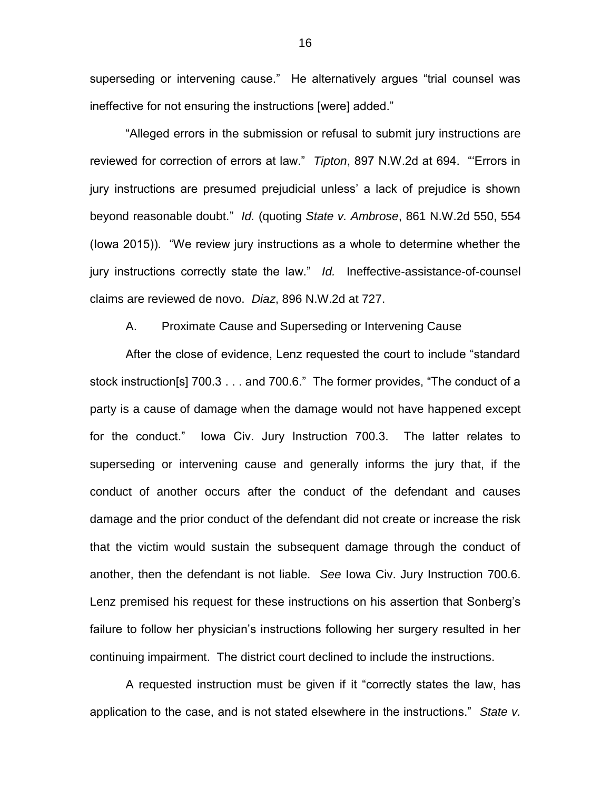superseding or intervening cause." He alternatively argues "trial counsel was ineffective for not ensuring the instructions [were] added."

"Alleged errors in the submission or refusal to submit jury instructions are reviewed for correction of errors at law." *Tipton*, 897 N.W.2d at 694. "'Errors in jury instructions are presumed prejudicial unless' a lack of prejudice is shown beyond reasonable doubt." *Id.* (quoting *State v. Ambrose*, 861 N.W.2d 550, 554 (Iowa 2015)). "We review jury instructions as a whole to determine whether the jury instructions correctly state the law." *Id.* Ineffective-assistance-of-counsel claims are reviewed de novo. *Diaz*, 896 N.W.2d at 727.

A. Proximate Cause and Superseding or Intervening Cause

After the close of evidence, Lenz requested the court to include "standard stock instruction[s] 700.3 . . . and 700.6." The former provides, "The conduct of a party is a cause of damage when the damage would not have happened except for the conduct." Iowa Civ. Jury Instruction 700.3. The latter relates to superseding or intervening cause and generally informs the jury that, if the conduct of another occurs after the conduct of the defendant and causes damage and the prior conduct of the defendant did not create or increase the risk that the victim would sustain the subsequent damage through the conduct of another, then the defendant is not liable. *See* Iowa Civ. Jury Instruction 700.6. Lenz premised his request for these instructions on his assertion that Sonberg's failure to follow her physician's instructions following her surgery resulted in her continuing impairment. The district court declined to include the instructions.

A requested instruction must be given if it "correctly states the law, has application to the case, and is not stated elsewhere in the instructions." *State v.*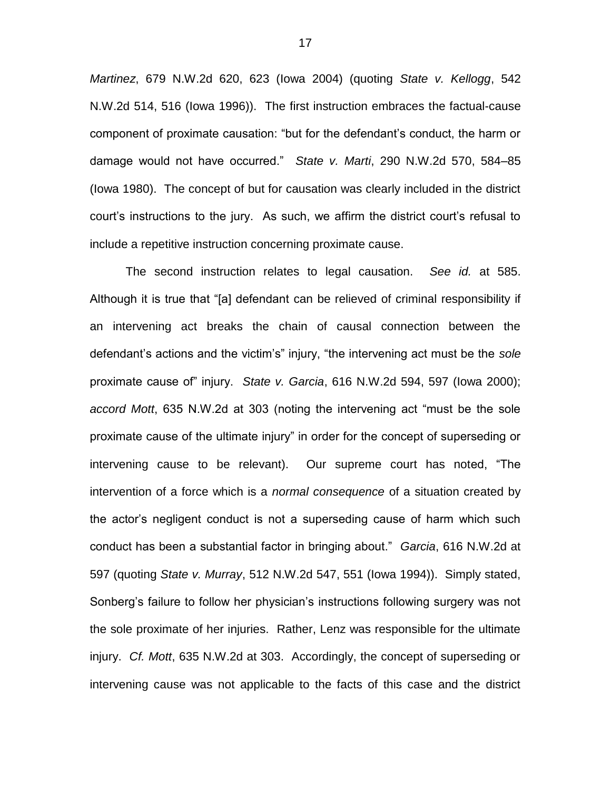*Martinez*, 679 N.W.2d 620, 623 (Iowa 2004) (quoting *State v. Kellogg*, 542 N.W.2d 514, 516 (Iowa 1996)). The first instruction embraces the factual-cause component of proximate causation: "but for the defendant's conduct, the harm or damage would not have occurred." *State v. Marti*, 290 N.W.2d 570, 584–85 (Iowa 1980). The concept of but for causation was clearly included in the district court's instructions to the jury. As such, we affirm the district court's refusal to include a repetitive instruction concerning proximate cause.

The second instruction relates to legal causation. *See id.* at 585. Although it is true that "[a] defendant can be relieved of criminal responsibility if an intervening act breaks the chain of causal connection between the defendant's actions and the victim's" injury, "the intervening act must be the *sole* proximate cause of" injury. *State v. Garcia*, 616 N.W.2d 594, 597 (Iowa 2000); *accord Mott*, 635 N.W.2d at 303 (noting the intervening act "must be the sole proximate cause of the ultimate injury" in order for the concept of superseding or intervening cause to be relevant). Our supreme court has noted, "The intervention of a force which is a *normal consequence* of a situation created by the actor's negligent conduct is not a superseding cause of harm which such conduct has been a substantial factor in bringing about." *Garcia*, 616 N.W.2d at 597 (quoting *State v. Murray*, 512 N.W.2d 547, 551 (Iowa 1994)). Simply stated, Sonberg's failure to follow her physician's instructions following surgery was not the sole proximate of her injuries. Rather, Lenz was responsible for the ultimate injury. *Cf. Mott*, 635 N.W.2d at 303. Accordingly, the concept of superseding or intervening cause was not applicable to the facts of this case and the district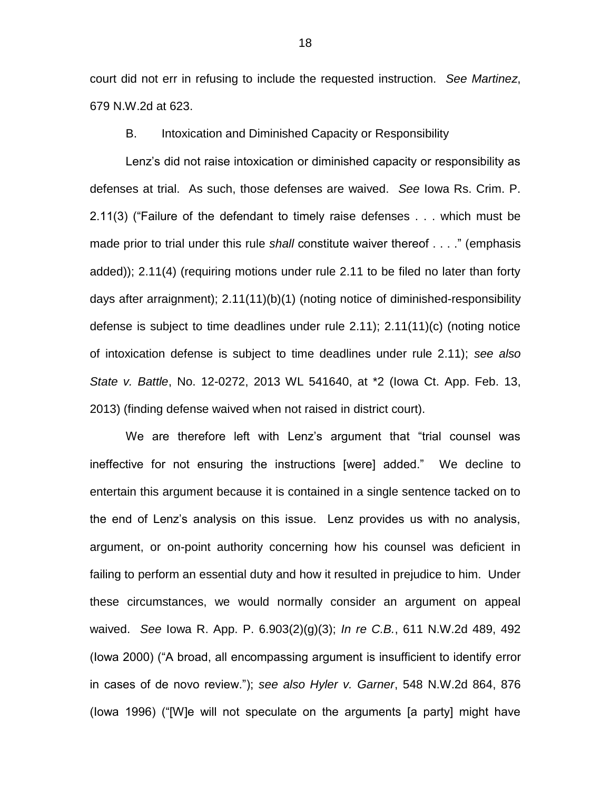court did not err in refusing to include the requested instruction. *See Martinez*, 679 N.W.2d at 623.

B. Intoxication and Diminished Capacity or Responsibility

Lenz's did not raise intoxication or diminished capacity or responsibility as defenses at trial. As such, those defenses are waived. *See* Iowa Rs. Crim. P. 2.11(3) ("Failure of the defendant to timely raise defenses . . . which must be made prior to trial under this rule *shall* constitute waiver thereof . . . ." (emphasis added)); 2.11(4) (requiring motions under rule 2.11 to be filed no later than forty days after arraignment); 2.11(11)(b)(1) (noting notice of diminished-responsibility defense is subject to time deadlines under rule 2.11); 2.11(11)(c) (noting notice of intoxication defense is subject to time deadlines under rule 2.11); *see also State v. Battle*, No. 12-0272, 2013 WL 541640, at \*2 (Iowa Ct. App. Feb. 13, 2013) (finding defense waived when not raised in district court).

We are therefore left with Lenz's argument that "trial counsel was ineffective for not ensuring the instructions [were] added." We decline to entertain this argument because it is contained in a single sentence tacked on to the end of Lenz's analysis on this issue. Lenz provides us with no analysis, argument, or on-point authority concerning how his counsel was deficient in failing to perform an essential duty and how it resulted in prejudice to him. Under these circumstances, we would normally consider an argument on appeal waived. *See* Iowa R. App. P. 6.903(2)(g)(3); *In re C.B.*, 611 N.W.2d 489, 492 (Iowa 2000) ("A broad, all encompassing argument is insufficient to identify error in cases of de novo review."); *see also Hyler v. Garner*, 548 N.W.2d 864, 876 (Iowa 1996) ("[W]e will not speculate on the arguments [a party] might have